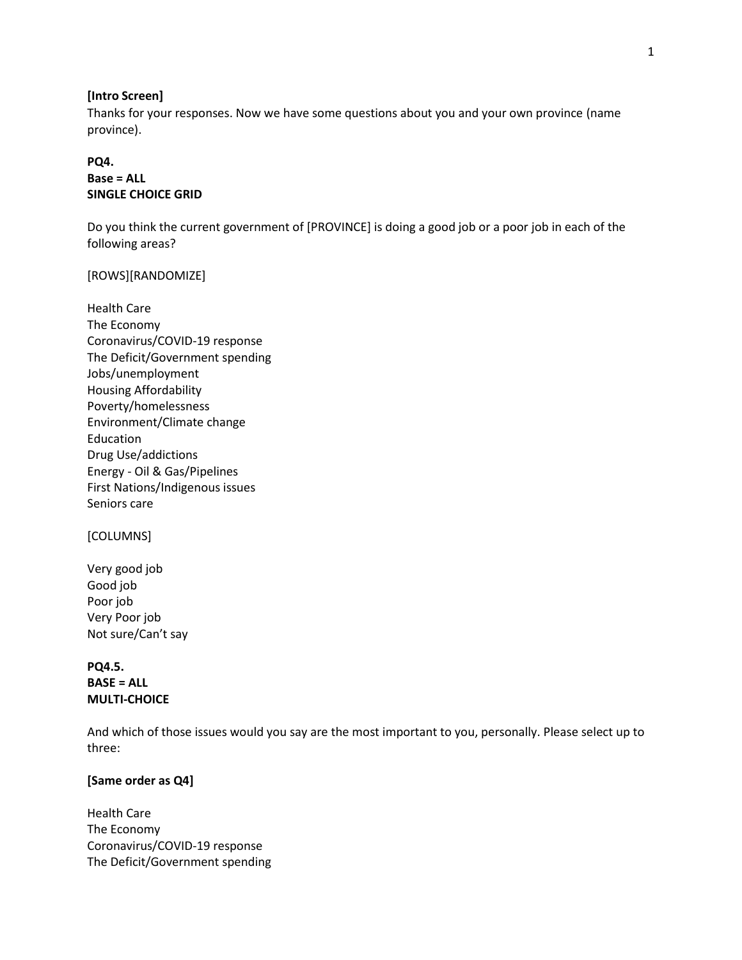#### **[Intro Screen]**

Thanks for your responses. Now we have some questions about you and your own province (name province).

# **PQ4. Base = ALL SINGLE CHOICE GRID**

Do you think the current government of [PROVINCE] is doing a good job or a poor job in each of the following areas?

### [ROWS][RANDOMIZE]

Health Care The Economy Coronavirus/COVID-19 response The Deficit/Government spending Jobs/unemployment Housing Affordability Poverty/homelessness Environment/Climate change Education Drug Use/addictions Energy - Oil & Gas/Pipelines First Nations/Indigenous issues Seniors care

### [COLUMNS]

Very good job Good job Poor job Very Poor job Not sure/Can't say

**PQ4.5. BASE = ALL MULTI-CHOICE**

And which of those issues would you say are the most important to you, personally. Please select up to three:

### **[Same order as Q4]**

Health Care The Economy Coronavirus/COVID-19 response The Deficit/Government spending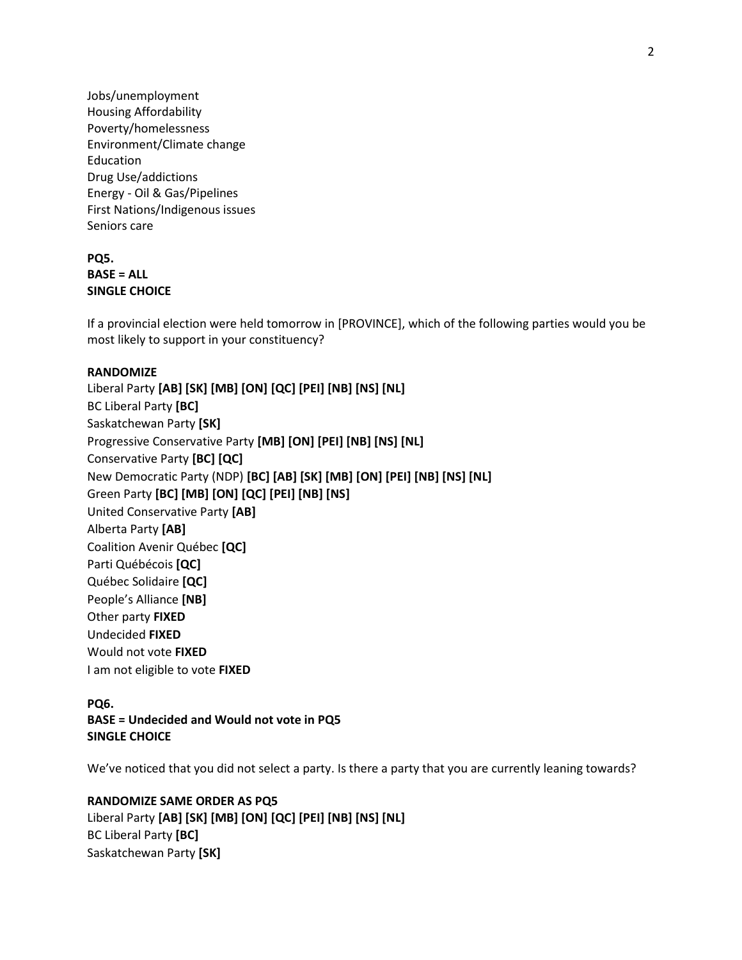Jobs/unemployment Housing Affordability Poverty/homelessness Environment/Climate change Education Drug Use/addictions Energy - Oil & Gas/Pipelines First Nations/Indigenous issues Seniors care

# **PQ5. BASE = ALL SINGLE CHOICE**

If a provincial election were held tomorrow in [PROVINCE], which of the following parties would you be most likely to support in your constituency?

# **RANDOMIZE**

Liberal Party **[AB] [SK] [MB] [ON] [QC] [PEI] [NB] [NS] [NL]** BC Liberal Party **[BC]** Saskatchewan Party **[SK]** Progressive Conservative Party **[MB] [ON] [PEI] [NB] [NS] [NL]** Conservative Party **[BC] [QC]** New Democratic Party (NDP) **[BC] [AB] [SK] [MB] [ON] [PEI] [NB] [NS] [NL]** Green Party **[BC] [MB] [ON] [QC] [PEI] [NB] [NS]** United Conservative Party **[AB]** Alberta Party **[AB]** Coalition Avenir Québec **[QC]** Parti Québécois **[QC]** Québec Solidaire **[QC]** People's Alliance **[NB]** Other party **FIXED** Undecided **FIXED** Would not vote **FIXED** I am not eligible to vote **FIXED**

# **PQ6.**

**BASE = Undecided and Would not vote in PQ5 SINGLE CHOICE**

We've noticed that you did not select a party. Is there a party that you are currently leaning towards?

**RANDOMIZE SAME ORDER AS PQ5** Liberal Party **[AB] [SK] [MB] [ON] [QC] [PEI] [NB] [NS] [NL]** BC Liberal Party **[BC]** Saskatchewan Party **[SK]**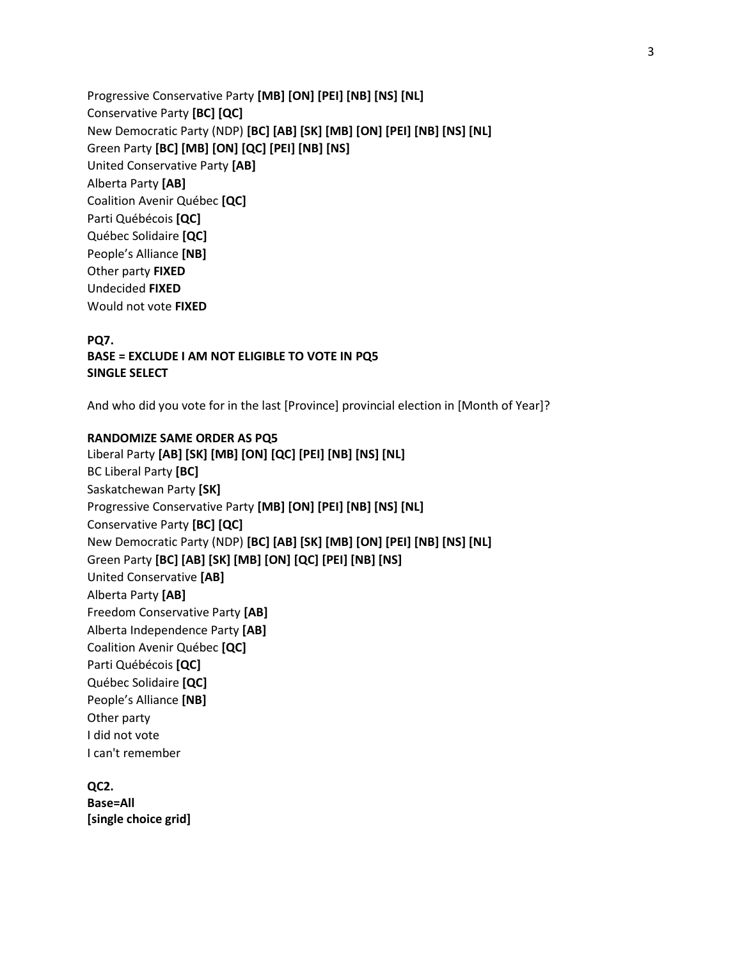Progressive Conservative Party **[MB] [ON] [PEI] [NB] [NS] [NL]** Conservative Party **[BC] [QC]** New Democratic Party (NDP) **[BC] [AB] [SK] [MB] [ON] [PEI] [NB] [NS] [NL]** Green Party **[BC] [MB] [ON] [QC] [PEI] [NB] [NS]** United Conservative Party **[AB]** Alberta Party **[AB]** Coalition Avenir Québec **[QC]** Parti Québécois **[QC]** Québec Solidaire **[QC]** People's Alliance **[NB]** Other party **FIXED** Undecided **FIXED** Would not vote **FIXED**

**PQ7. BASE = EXCLUDE I AM NOT ELIGIBLE TO VOTE IN PQ5 SINGLE SELECT**

And who did you vote for in the last [Province] provincial election in [Month of Year]?

## **RANDOMIZE SAME ORDER AS PQ5**

Liberal Party **[AB] [SK] [MB] [ON] [QC] [PEI] [NB] [NS] [NL]** BC Liberal Party **[BC]** Saskatchewan Party **[SK]** Progressive Conservative Party **[MB] [ON] [PEI] [NB] [NS] [NL]** Conservative Party **[BC] [QC]** New Democratic Party (NDP) **[BC] [AB] [SK] [MB] [ON] [PEI] [NB] [NS] [NL]** Green Party **[BC] [AB] [SK] [MB] [ON] [QC] [PEI] [NB] [NS]** United Conservative **[AB]** Alberta Party **[AB]** Freedom Conservative Party **[AB]** Alberta Independence Party **[AB]** Coalition Avenir Québec **[QC]** Parti Québécois **[QC]** Québec Solidaire **[QC]** People's Alliance **[NB]** Other party I did not vote I can't remember

**QC2. Base=All [single choice grid]**